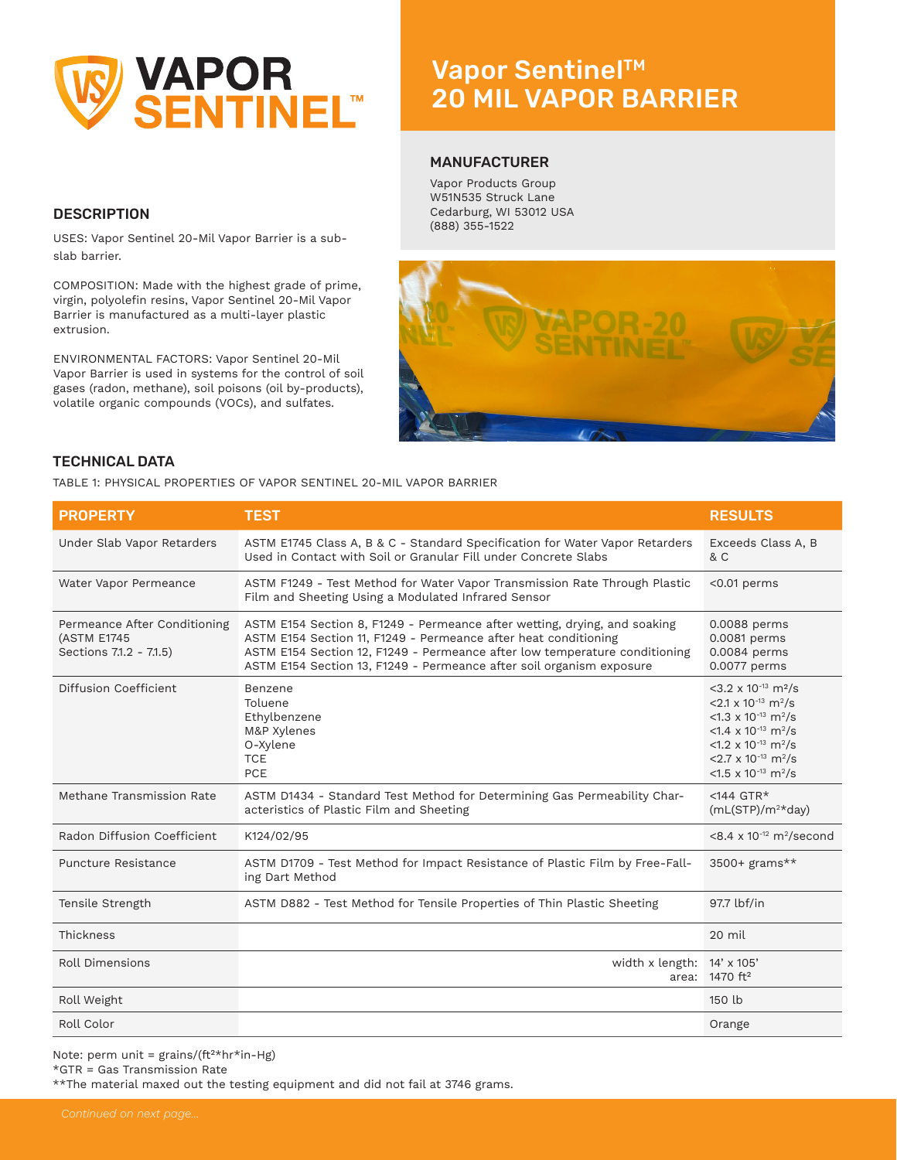

## **DESCRIPTION**

USES: Vapor Sentinel 20-Mil Vapor Barrier is a subslab barrier.

COMPOSITION: Made with the highest grade of prime, virgin, polyolefin resins, Vapor Sentinel 20-Mil Vapor Barrier is manufactured as a multi-layer plastic extrusion.

ENVIRONMENTAL FACTORS: Vapor Sentinel 20-Mil Vapor Barrier is used in systems for the control of soil gases (radon, methane), soil poisons (oil by-products), volatile organic compounds (VOCs), and sulfates.

# Vapor Sentinel™ 10 MIL VAPOR BARRIER 20 MIL VAPOR BARRIER

#### MANUFACTURER

Vapor Products Group W51N535 Struck Lane Cedarburg, WI 53012 USA (888) 355-1522



#### TECHNICAL DATA

TABLE 1: PHYSICAL PROPERTIES OF VAPOR SENTINEL 20-MIL VAPOR BARRIER

| <b>PROPERTY</b>                                                        | <b>TEST</b>                                                                                                                                                                                                                                                                                        | <b>RESULTS</b>                                                                                                                                                                                                                                                                                                                                   |
|------------------------------------------------------------------------|----------------------------------------------------------------------------------------------------------------------------------------------------------------------------------------------------------------------------------------------------------------------------------------------------|--------------------------------------------------------------------------------------------------------------------------------------------------------------------------------------------------------------------------------------------------------------------------------------------------------------------------------------------------|
| Under Slab Vapor Retarders                                             | ASTM E1745 Class A, B & C - Standard Specification for Water Vapor Retarders<br>Used in Contact with Soil or Granular Fill under Concrete Slabs                                                                                                                                                    | Exceeds Class A, B<br>& C                                                                                                                                                                                                                                                                                                                        |
| Water Vapor Permeance                                                  | ASTM F1249 - Test Method for Water Vapor Transmission Rate Through Plastic<br>Film and Sheeting Using a Modulated Infrared Sensor                                                                                                                                                                  | $<$ 0.01 perms                                                                                                                                                                                                                                                                                                                                   |
| Permeance After Conditioning<br>(ASTM E1745<br>Sections 7.1.2 - 7.1.5) | ASTM E154 Section 8, F1249 - Permeance after wetting, drying, and soaking<br>ASTM E154 Section 11, F1249 - Permeance after heat conditioning<br>ASTM E154 Section 12, F1249 - Permeance after low temperature conditioning<br>ASTM E154 Section 13, F1249 - Permeance after soil organism exposure | 0.0088 perms<br>0.0081 perms<br>0.0084 perms<br>0.0077 perms                                                                                                                                                                                                                                                                                     |
| Diffusion Coefficient                                                  | Benzene<br>Toluene<br>Ethylbenzene<br>M&P Xylenes<br>O-Xylene<br><b>TCE</b><br>PCE                                                                                                                                                                                                                 | $<$ 3.2 x 10 <sup>-13</sup> m <sup>2</sup> /s<br>$<$ 2.1 x 10 <sup>-13</sup> m <sup>2</sup> /s<br>$<$ 1.3 x 10 <sup>-13</sup> m <sup>2</sup> /s<br>$<$ 1.4 x 10 <sup>-13</sup> m <sup>2</sup> /s<br>$<$ 1.2 x 10 <sup>-13</sup> m <sup>2</sup> /s<br>$<$ 2.7 x 10 <sup>-13</sup> m <sup>2</sup> /s<br><1.5 x 10 <sup>-13</sup> m <sup>2</sup> /s |
| Methane Transmission Rate                                              | ASTM D1434 - Standard Test Method for Determining Gas Permeability Char-<br>acteristics of Plastic Film and Sheeting                                                                                                                                                                               | $<$ 144 GTR*<br>$(mL(STP)/m^2*day)$                                                                                                                                                                                                                                                                                                              |
| Radon Diffusion Coefficient                                            | K124/02/95                                                                                                                                                                                                                                                                                         | $< 8.4 \times 10^{-12}$ m <sup>2</sup> /second                                                                                                                                                                                                                                                                                                   |
| Puncture Resistance                                                    | ASTM D1709 - Test Method for Impact Resistance of Plastic Film by Free-Fall-<br>ing Dart Method                                                                                                                                                                                                    | 3500+ grams**                                                                                                                                                                                                                                                                                                                                    |
| Tensile Strength                                                       | ASTM D882 - Test Method for Tensile Properties of Thin Plastic Sheeting                                                                                                                                                                                                                            | 97.7 lbf/in                                                                                                                                                                                                                                                                                                                                      |
| Thickness                                                              |                                                                                                                                                                                                                                                                                                    | 20 mil                                                                                                                                                                                                                                                                                                                                           |
| <b>Roll Dimensions</b>                                                 | width x length: $14' \times 105'$                                                                                                                                                                                                                                                                  | area: 1470 ft <sup>2</sup>                                                                                                                                                                                                                                                                                                                       |
| Roll Weight                                                            |                                                                                                                                                                                                                                                                                                    | 150 lb                                                                                                                                                                                                                                                                                                                                           |
| Roll Color                                                             |                                                                                                                                                                                                                                                                                                    | Orange                                                                                                                                                                                                                                                                                                                                           |

Note: perm unit =  $grains/(ft<sup>2</sup>*hr*in-Hg)$ 

\*GTR = Gas Transmission Rate

\*\*The material maxed out the testing equipment and did not fail at 3746 grams.